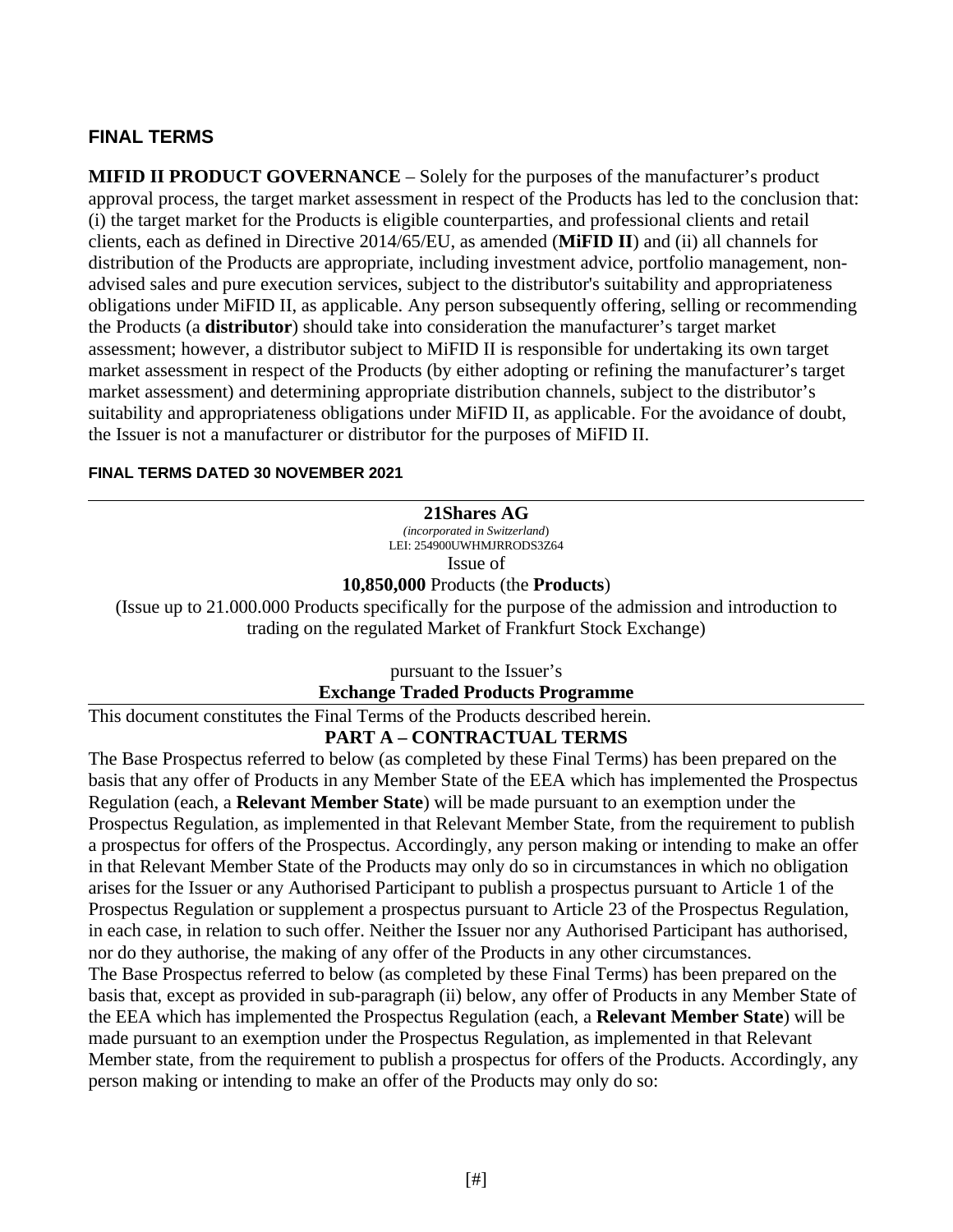### **FINAL TERMS**

**MIFID II PRODUCT GOVERNANCE** – Solely for the purposes of the manufacturer's product approval process, the target market assessment in respect of the Products has led to the conclusion that: (i) the target market for the Products is eligible counterparties, and professional clients and retail clients, each as defined in Directive 2014/65/EU, as amended (**MiFID II**) and (ii) all channels for distribution of the Products are appropriate, including investment advice, portfolio management, nonadvised sales and pure execution services, subject to the distributor's suitability and appropriateness obligations under MiFID II, as applicable. Any person subsequently offering, selling or recommending the Products (a **distributor**) should take into consideration the manufacturer's target market assessment; however, a distributor subject to MiFID II is responsible for undertaking its own target market assessment in respect of the Products (by either adopting or refining the manufacturer's target market assessment) and determining appropriate distribution channels, subject to the distributor's suitability and appropriateness obligations under MiFID II, as applicable. For the avoidance of doubt, the Issuer is not a manufacturer or distributor for the purposes of MiFID II.

#### **FINAL TERMS DATED 30 NOVEMBER 2021**

#### **21Shares AG**

*(incorporated in Switzerland*) LEI: 254900UWHMJRRODS3264 Issue of

**10,850,000** Products (the **Products**)

(Issue up to 21.000.000 Products specifically for the purpose of the admission and introduction to trading on the regulated Market of Frankfurt Stock Exchange)

pursuant to the Issuer's

**Exchange Traded Products Programme**

This document constitutes the Final Terms of the Products described herein.

### **PART A – CONTRACTUAL TERMS**

The Base Prospectus referred to below (as completed by these Final Terms) has been prepared on the basis that any offer of Products in any Member State of the EEA which has implemented the Prospectus Regulation (each, a **Relevant Member State**) will be made pursuant to an exemption under the Prospectus Regulation, as implemented in that Relevant Member State, from the requirement to publish a prospectus for offers of the Prospectus. Accordingly, any person making or intending to make an offer in that Relevant Member State of the Products may only do so in circumstances in which no obligation arises for the Issuer or any Authorised Participant to publish a prospectus pursuant to Article 1 of the Prospectus Regulation or supplement a prospectus pursuant to Article 23 of the Prospectus Regulation, in each case, in relation to such offer. Neither the Issuer nor any Authorised Participant has authorised, nor do they authorise, the making of any offer of the Products in any other circumstances. The Base Prospectus referred to below (as completed by these Final Terms) has been prepared on the basis that, except as provided in sub-paragraph (ii) below, any offer of Products in any Member State of the EEA which has implemented the Prospectus Regulation (each, a **Relevant Member State**) will be

made pursuant to an exemption under the Prospectus Regulation, as implemented in that Relevant Member state, from the requirement to publish a prospectus for offers of the Products. Accordingly, any person making or intending to make an offer of the Products may only do so: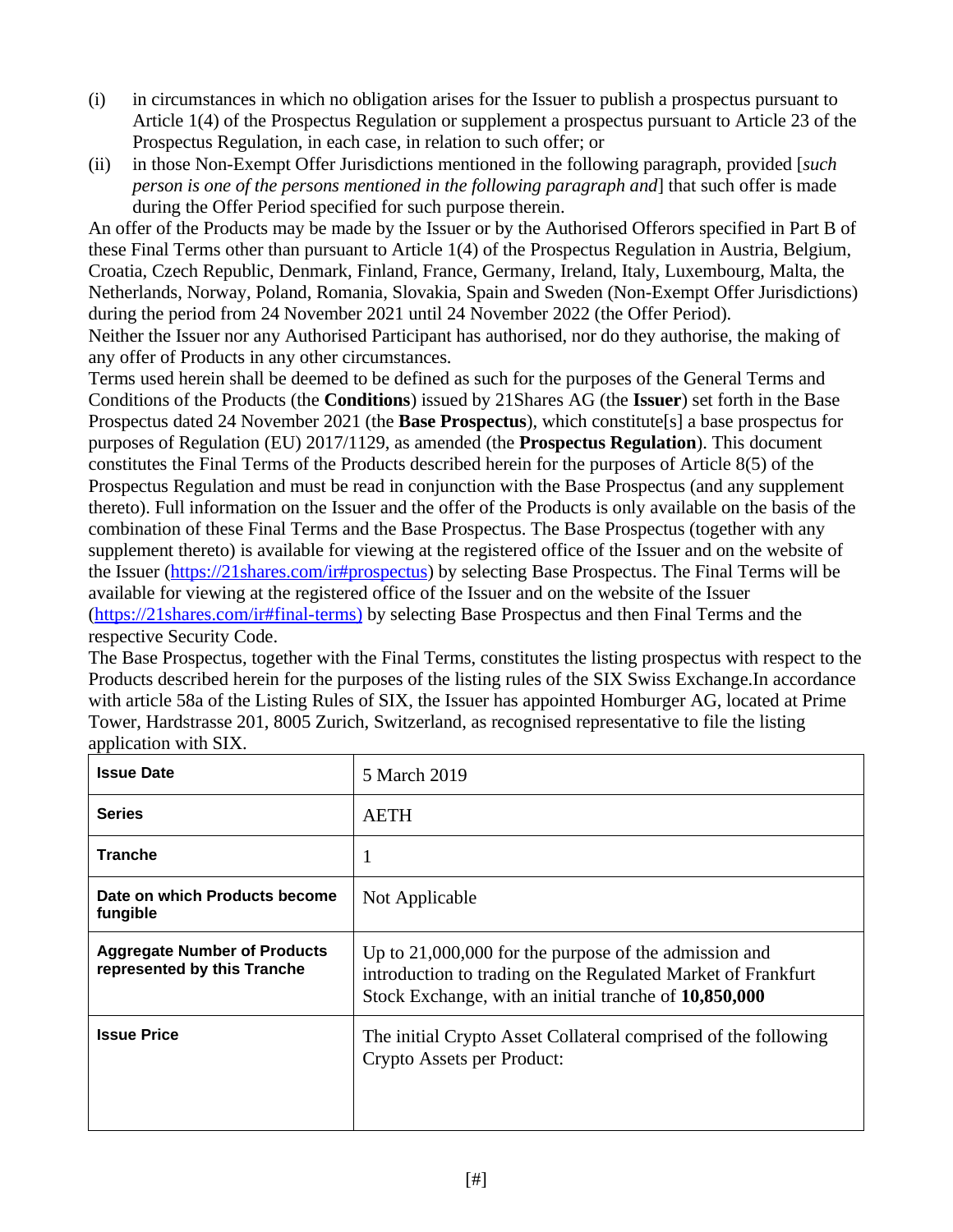- (i) in circumstances in which no obligation arises for the Issuer to publish a prospectus pursuant to Article 1(4) of the Prospectus Regulation or supplement a prospectus pursuant to Article 23 of the Prospectus Regulation, in each case, in relation to such offer; or
- (ii) in those Non-Exempt Offer Jurisdictions mentioned in the following paragraph, provided [*such person is one of the persons mentioned in the following paragraph and*] that such offer is made during the Offer Period specified for such purpose therein.

An offer of the Products may be made by the Issuer or by the Authorised Offerors specified in Part B of these Final Terms other than pursuant to Article 1(4) of the Prospectus Regulation in Austria, Belgium, Croatia, Czech Republic, Denmark, Finland, France, Germany, Ireland, Italy, Luxembourg, Malta, the Netherlands, Norway, Poland, Romania, Slovakia, Spain and Sweden (Non-Exempt Offer Jurisdictions) during the period from 24 November 2021 until 24 November 2022 (the Offer Period). Neither the Issuer nor any Authorised Participant has authorised, nor do they authorise, the making of any offer of Products in any other circumstances.

Terms used herein shall be deemed to be defined as such for the purposes of the General Terms and Conditions of the Products (the **Conditions**) issued by 21Shares AG (the **Issuer**) set forth in the Base Prospectus dated 24 November 2021 (the **Base Prospectus**), which constitute[s] a base prospectus for purposes of Regulation (EU) 2017/1129, as amended (the **Prospectus Regulation**). This document constitutes the Final Terms of the Products described herein for the purposes of Article 8(5) of the Prospectus Regulation and must be read in conjunction with the Base Prospectus (and any supplement thereto). Full information on the Issuer and the offer of the Products is only available on the basis of the combination of these Final Terms and the Base Prospectus. The Base Prospectus (together with any supplement thereto) is available for viewing at the registered office of the Issuer and on the website of the Issuer (https://21shares.com/ir#prospectus) by selecting Base Prospectus. The Final Terms will be available for viewing at the registered office of the Issuer and on the website of the Issuer (https://21shares.com/ir#final-terms) by selecting Base Prospectus and then Final Terms and the respective Security Code.

The Base Prospectus, together with the Final Terms, constitutes the listing prospectus with respect to the Products described herein for the purposes of the listing rules of the SIX Swiss Exchange.In accordance with article 58a of the Listing Rules of SIX, the Issuer has appointed Homburger AG, located at Prime Tower, Hardstrasse 201, 8005 Zurich, Switzerland, as recognised representative to file the listing application with SIX.

| <b>Issue Date</b>                                                  | 5 March 2019                                                                                                                                                                   |
|--------------------------------------------------------------------|--------------------------------------------------------------------------------------------------------------------------------------------------------------------------------|
| <b>Series</b>                                                      | AETH                                                                                                                                                                           |
| <b>Tranche</b>                                                     | 1                                                                                                                                                                              |
| Date on which Products become<br>fungible                          | Not Applicable                                                                                                                                                                 |
| <b>Aggregate Number of Products</b><br>represented by this Tranche | Up to 21,000,000 for the purpose of the admission and<br>introduction to trading on the Regulated Market of Frankfurt<br>Stock Exchange, with an initial tranche of 10,850,000 |
| <b>Issue Price</b>                                                 | The initial Crypto Asset Collateral comprised of the following<br>Crypto Assets per Product:                                                                                   |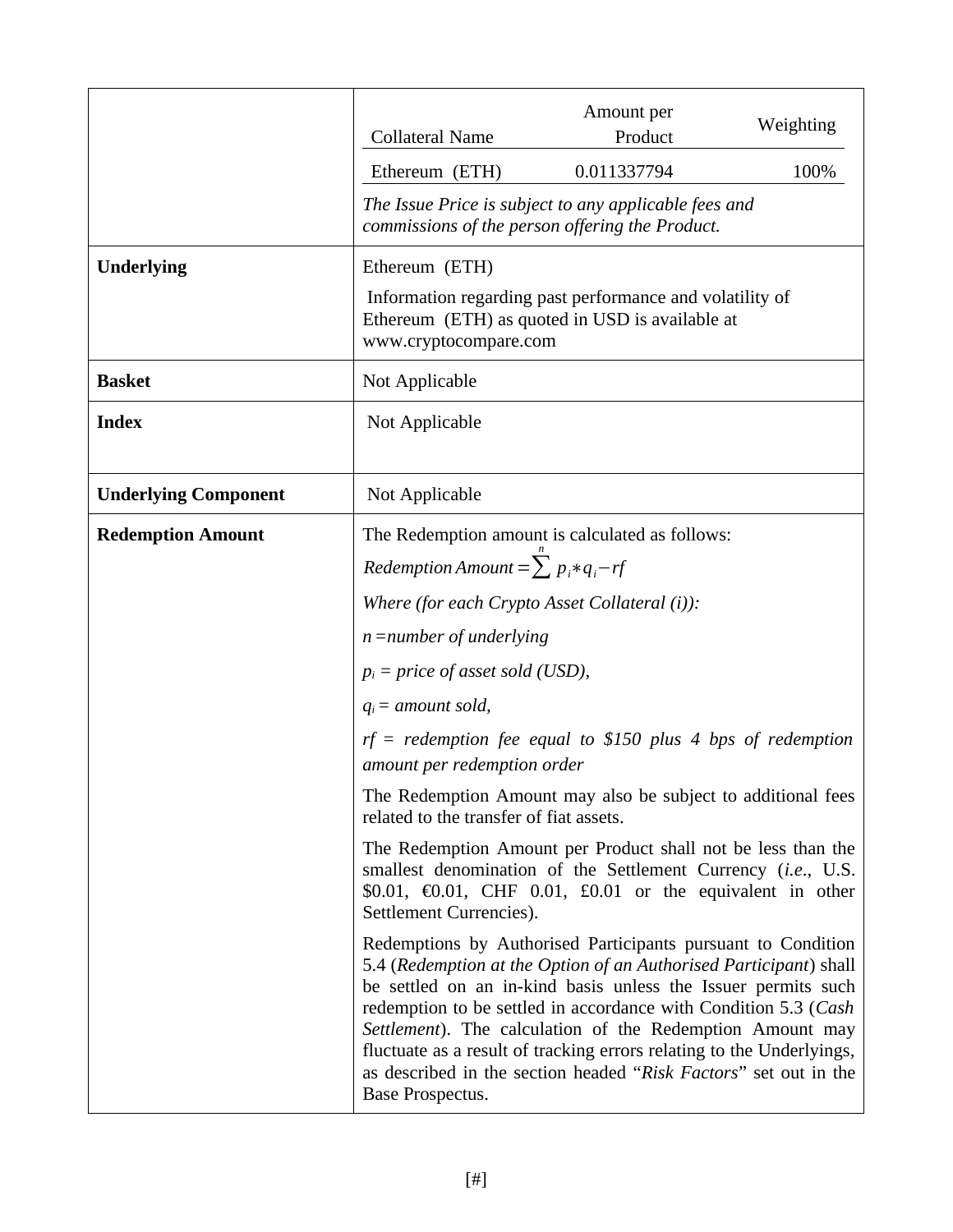|                             | <b>Collateral Name</b>                        | Amount per<br>Product                                                                                                                                                                                                                                                                                                                                                                                                                                                           | Weighting |
|-----------------------------|-----------------------------------------------|---------------------------------------------------------------------------------------------------------------------------------------------------------------------------------------------------------------------------------------------------------------------------------------------------------------------------------------------------------------------------------------------------------------------------------------------------------------------------------|-----------|
|                             | Ethereum (ETH)                                | 0.011337794                                                                                                                                                                                                                                                                                                                                                                                                                                                                     | 100%      |
|                             |                                               | The Issue Price is subject to any applicable fees and<br>commissions of the person offering the Product.                                                                                                                                                                                                                                                                                                                                                                        |           |
| <b>Underlying</b>           | Ethereum (ETH)                                |                                                                                                                                                                                                                                                                                                                                                                                                                                                                                 |           |
|                             | www.cryptocompare.com                         | Information regarding past performance and volatility of<br>Ethereum (ETH) as quoted in USD is available at                                                                                                                                                                                                                                                                                                                                                                     |           |
| <b>Basket</b>               | Not Applicable                                |                                                                                                                                                                                                                                                                                                                                                                                                                                                                                 |           |
| <b>Index</b>                | Not Applicable                                |                                                                                                                                                                                                                                                                                                                                                                                                                                                                                 |           |
|                             |                                               |                                                                                                                                                                                                                                                                                                                                                                                                                                                                                 |           |
| <b>Underlying Component</b> | Not Applicable                                |                                                                                                                                                                                                                                                                                                                                                                                                                                                                                 |           |
| <b>Redemption Amount</b>    |                                               | The Redemption amount is calculated as follows:                                                                                                                                                                                                                                                                                                                                                                                                                                 |           |
|                             | Redemption Amount = $\sum p_i * q_i - rf$     |                                                                                                                                                                                                                                                                                                                                                                                                                                                                                 |           |
|                             | Where (for each Crypto Asset Collateral (i)): |                                                                                                                                                                                                                                                                                                                                                                                                                                                                                 |           |
|                             | $n = number of underlying$                    |                                                                                                                                                                                                                                                                                                                                                                                                                                                                                 |           |
|                             | $p_i$ = price of asset sold (USD),            |                                                                                                                                                                                                                                                                                                                                                                                                                                                                                 |           |
|                             | $q_i$ = amount sold,                          |                                                                                                                                                                                                                                                                                                                                                                                                                                                                                 |           |
|                             | amount per redemption order                   | $rf = red$ emption fee equal to \$150 plus 4 bps of redemption                                                                                                                                                                                                                                                                                                                                                                                                                  |           |
|                             | related to the transfer of fiat assets.       | The Redemption Amount may also be subject to additional fees                                                                                                                                                                                                                                                                                                                                                                                                                    |           |
|                             | Settlement Currencies).                       | The Redemption Amount per Product shall not be less than the<br>smallest denomination of the Settlement Currency (i.e., U.S.<br>\$0.01, $60.01$ , CHF 0.01, £0.01 or the equivalent in other                                                                                                                                                                                                                                                                                    |           |
|                             | Base Prospectus.                              | Redemptions by Authorised Participants pursuant to Condition<br>5.4 (Redemption at the Option of an Authorised Participant) shall<br>be settled on an in-kind basis unless the Issuer permits such<br>redemption to be settled in accordance with Condition 5.3 (Cash<br>Settlement). The calculation of the Redemption Amount may<br>fluctuate as a result of tracking errors relating to the Underlyings,<br>as described in the section headed "Risk Factors" set out in the |           |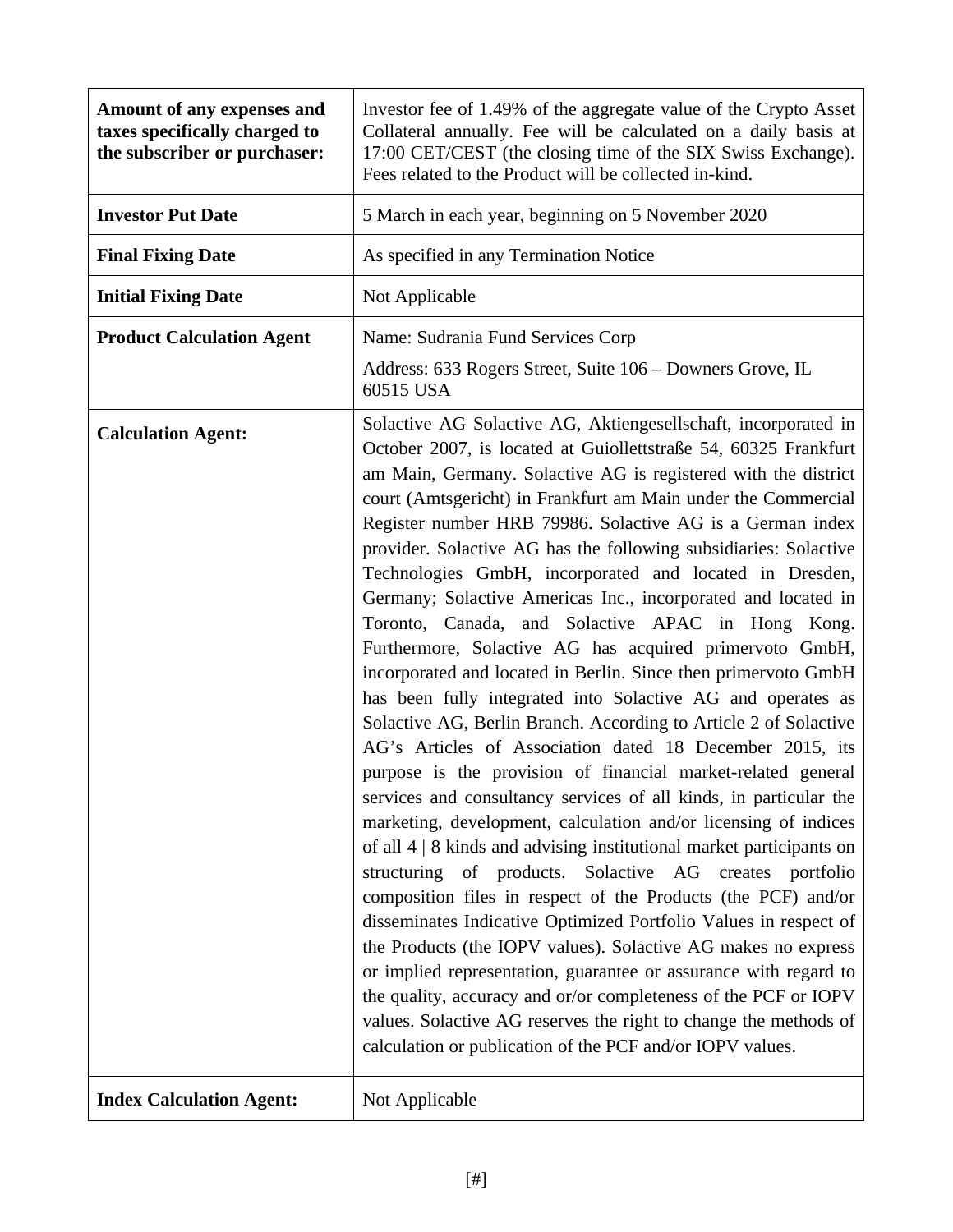| Amount of any expenses and<br>taxes specifically charged to<br>the subscriber or purchaser: | Investor fee of 1.49% of the aggregate value of the Crypto Asset<br>Collateral annually. Fee will be calculated on a daily basis at<br>17:00 CET/CEST (the closing time of the SIX Swiss Exchange).<br>Fees related to the Product will be collected in-kind.                                                                                                                                                                                                                                                                                                                                                                                                                                                                                                                                                                                                                                                                                                                                                                                                                                                                                                                                                                                                                                                                                                                                                                                                                                                                                                                                                                                                                                                                                       |
|---------------------------------------------------------------------------------------------|-----------------------------------------------------------------------------------------------------------------------------------------------------------------------------------------------------------------------------------------------------------------------------------------------------------------------------------------------------------------------------------------------------------------------------------------------------------------------------------------------------------------------------------------------------------------------------------------------------------------------------------------------------------------------------------------------------------------------------------------------------------------------------------------------------------------------------------------------------------------------------------------------------------------------------------------------------------------------------------------------------------------------------------------------------------------------------------------------------------------------------------------------------------------------------------------------------------------------------------------------------------------------------------------------------------------------------------------------------------------------------------------------------------------------------------------------------------------------------------------------------------------------------------------------------------------------------------------------------------------------------------------------------------------------------------------------------------------------------------------------------|
| <b>Investor Put Date</b>                                                                    | 5 March in each year, beginning on 5 November 2020                                                                                                                                                                                                                                                                                                                                                                                                                                                                                                                                                                                                                                                                                                                                                                                                                                                                                                                                                                                                                                                                                                                                                                                                                                                                                                                                                                                                                                                                                                                                                                                                                                                                                                  |
| <b>Final Fixing Date</b>                                                                    | As specified in any Termination Notice                                                                                                                                                                                                                                                                                                                                                                                                                                                                                                                                                                                                                                                                                                                                                                                                                                                                                                                                                                                                                                                                                                                                                                                                                                                                                                                                                                                                                                                                                                                                                                                                                                                                                                              |
| <b>Initial Fixing Date</b>                                                                  | Not Applicable                                                                                                                                                                                                                                                                                                                                                                                                                                                                                                                                                                                                                                                                                                                                                                                                                                                                                                                                                                                                                                                                                                                                                                                                                                                                                                                                                                                                                                                                                                                                                                                                                                                                                                                                      |
| <b>Product Calculation Agent</b>                                                            | Name: Sudrania Fund Services Corp                                                                                                                                                                                                                                                                                                                                                                                                                                                                                                                                                                                                                                                                                                                                                                                                                                                                                                                                                                                                                                                                                                                                                                                                                                                                                                                                                                                                                                                                                                                                                                                                                                                                                                                   |
|                                                                                             | Address: 633 Rogers Street, Suite 106 - Downers Grove, IL<br>60515 USA                                                                                                                                                                                                                                                                                                                                                                                                                                                                                                                                                                                                                                                                                                                                                                                                                                                                                                                                                                                                                                                                                                                                                                                                                                                                                                                                                                                                                                                                                                                                                                                                                                                                              |
| <b>Calculation Agent:</b>                                                                   | Solactive AG Solactive AG, Aktiengesellschaft, incorporated in<br>October 2007, is located at Guiollettstraße 54, 60325 Frankfurt<br>am Main, Germany. Solactive AG is registered with the district<br>court (Amtsgericht) in Frankfurt am Main under the Commercial<br>Register number HRB 79986. Solactive AG is a German index<br>provider. Solactive AG has the following subsidiaries: Solactive<br>Technologies GmbH, incorporated and located in Dresden,<br>Germany; Solactive Americas Inc., incorporated and located in<br>Toronto, Canada, and Solactive APAC in Hong Kong.<br>Furthermore, Solactive AG has acquired primervoto GmbH,<br>incorporated and located in Berlin. Since then primervoto GmbH<br>has been fully integrated into Solactive AG and operates as<br>Solactive AG, Berlin Branch. According to Article 2 of Solactive<br>AG's Articles of Association dated 18 December 2015, its<br>purpose is the provision of financial market-related general<br>services and consultancy services of all kinds, in particular the<br>marketing, development, calculation and/or licensing of indices<br>of all $4 \mid 8$ kinds and advising institutional market participants on<br>structuring of products. Solactive AG creates<br>portfolio<br>composition files in respect of the Products (the PCF) and/or<br>disseminates Indicative Optimized Portfolio Values in respect of<br>the Products (the IOPV values). Solactive AG makes no express<br>or implied representation, guarantee or assurance with regard to<br>the quality, accuracy and or/or completeness of the PCF or IOPV<br>values. Solactive AG reserves the right to change the methods of<br>calculation or publication of the PCF and/or IOPV values. |
| <b>Index Calculation Agent:</b>                                                             | Not Applicable                                                                                                                                                                                                                                                                                                                                                                                                                                                                                                                                                                                                                                                                                                                                                                                                                                                                                                                                                                                                                                                                                                                                                                                                                                                                                                                                                                                                                                                                                                                                                                                                                                                                                                                                      |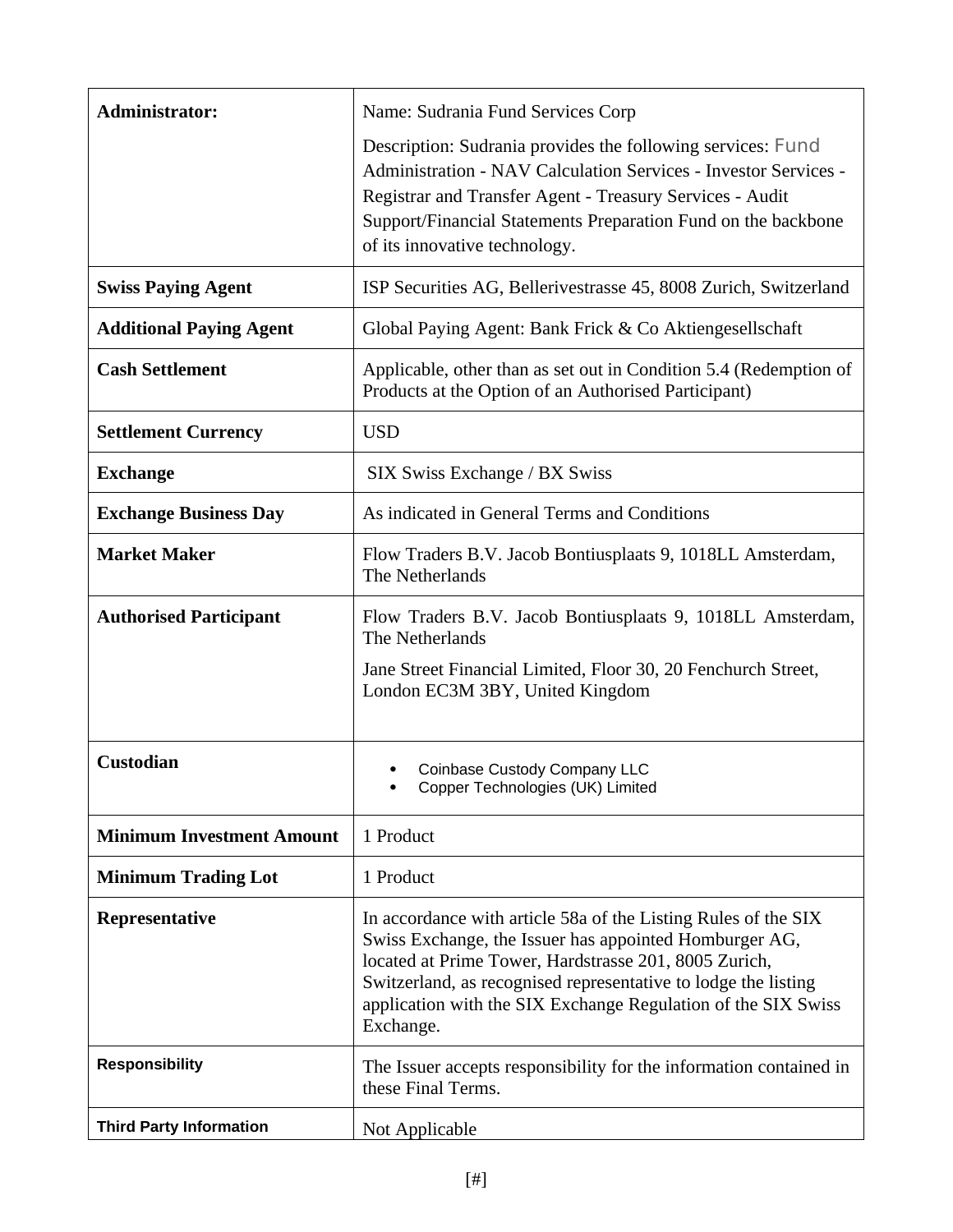| <b>Administrator:</b>            | Name: Sudrania Fund Services Corp                                                                                                                                                                                                                                                                                                 |
|----------------------------------|-----------------------------------------------------------------------------------------------------------------------------------------------------------------------------------------------------------------------------------------------------------------------------------------------------------------------------------|
|                                  | Description: Sudrania provides the following services: Fund<br>Administration - NAV Calculation Services - Investor Services -<br>Registrar and Transfer Agent - Treasury Services - Audit<br>Support/Financial Statements Preparation Fund on the backbone<br>of its innovative technology.                                      |
| <b>Swiss Paying Agent</b>        | ISP Securities AG, Bellerivestrasse 45, 8008 Zurich, Switzerland                                                                                                                                                                                                                                                                  |
| <b>Additional Paying Agent</b>   | Global Paying Agent: Bank Frick & Co Aktiengesellschaft                                                                                                                                                                                                                                                                           |
| <b>Cash Settlement</b>           | Applicable, other than as set out in Condition 5.4 (Redemption of<br>Products at the Option of an Authorised Participant)                                                                                                                                                                                                         |
| <b>Settlement Currency</b>       | <b>USD</b>                                                                                                                                                                                                                                                                                                                        |
| <b>Exchange</b>                  | SIX Swiss Exchange / BX Swiss                                                                                                                                                                                                                                                                                                     |
| <b>Exchange Business Day</b>     | As indicated in General Terms and Conditions                                                                                                                                                                                                                                                                                      |
| <b>Market Maker</b>              | Flow Traders B.V. Jacob Bontiusplaats 9, 1018LL Amsterdam,<br>The Netherlands                                                                                                                                                                                                                                                     |
| <b>Authorised Participant</b>    | Flow Traders B.V. Jacob Bontiusplaats 9, 1018LL Amsterdam,<br>The Netherlands<br>Jane Street Financial Limited, Floor 30, 20 Fenchurch Street,<br>London EC3M 3BY, United Kingdom                                                                                                                                                 |
| <b>Custodian</b>                 | Coinbase Custody Company LLC<br>٠<br>Copper Technologies (UK) Limited                                                                                                                                                                                                                                                             |
| <b>Minimum Investment Amount</b> | 1 Product                                                                                                                                                                                                                                                                                                                         |
| <b>Minimum Trading Lot</b>       | 1 Product                                                                                                                                                                                                                                                                                                                         |
| Representative                   | In accordance with article 58a of the Listing Rules of the SIX<br>Swiss Exchange, the Issuer has appointed Homburger AG,<br>located at Prime Tower, Hardstrasse 201, 8005 Zurich,<br>Switzerland, as recognised representative to lodge the listing<br>application with the SIX Exchange Regulation of the SIX Swiss<br>Exchange. |
| <b>Responsibility</b>            | The Issuer accepts responsibility for the information contained in<br>these Final Terms.                                                                                                                                                                                                                                          |
| <b>Third Party Information</b>   | Not Applicable                                                                                                                                                                                                                                                                                                                    |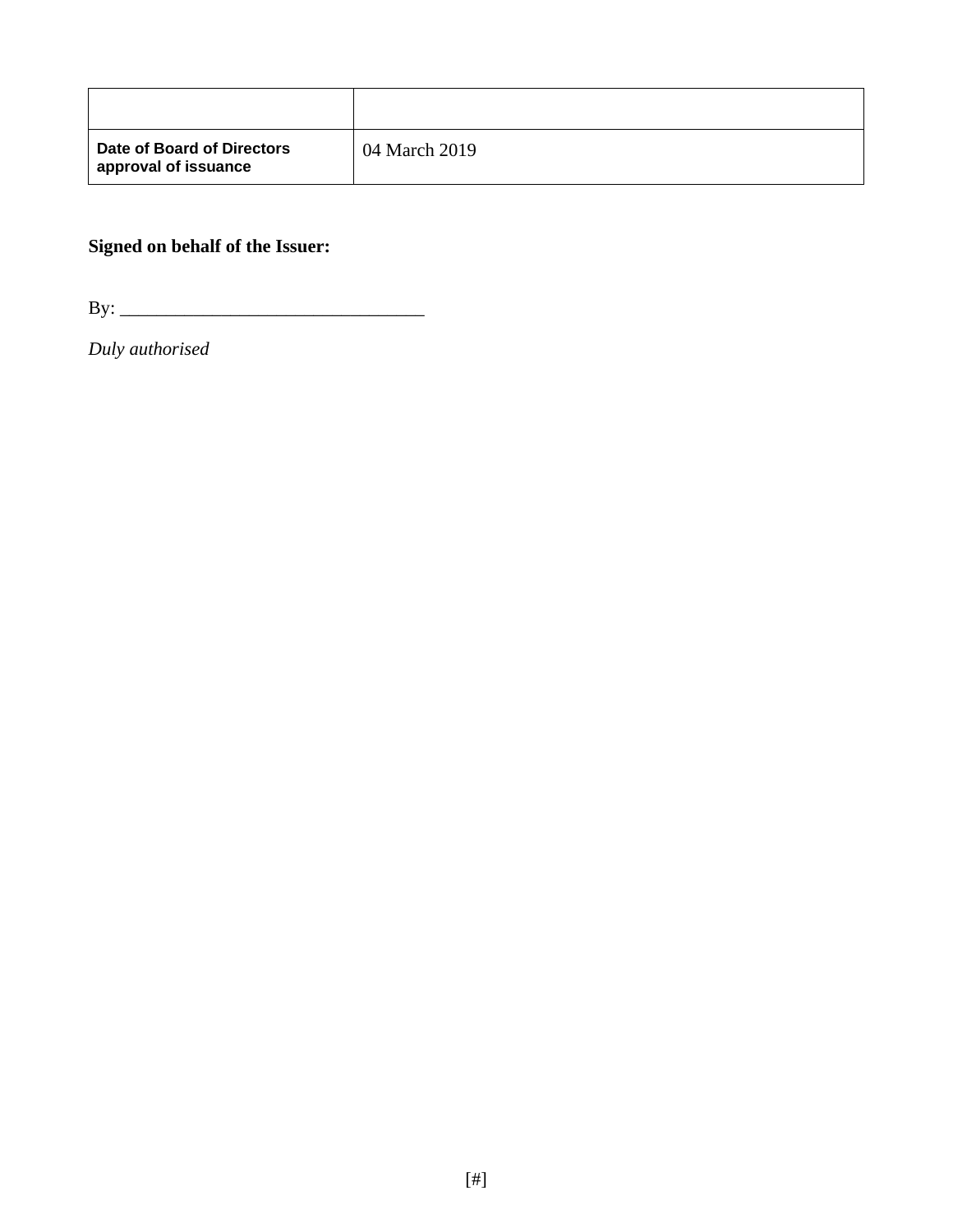| Date of Board of Directors<br>approval of issuance | 04 March 2019 |
|----------------------------------------------------|---------------|

# **Signed on behalf of the Issuer:**

By: \_\_\_\_\_\_\_\_\_\_\_\_\_\_\_\_\_\_\_\_\_\_\_\_\_\_\_\_\_\_\_\_\_

*Duly authorised*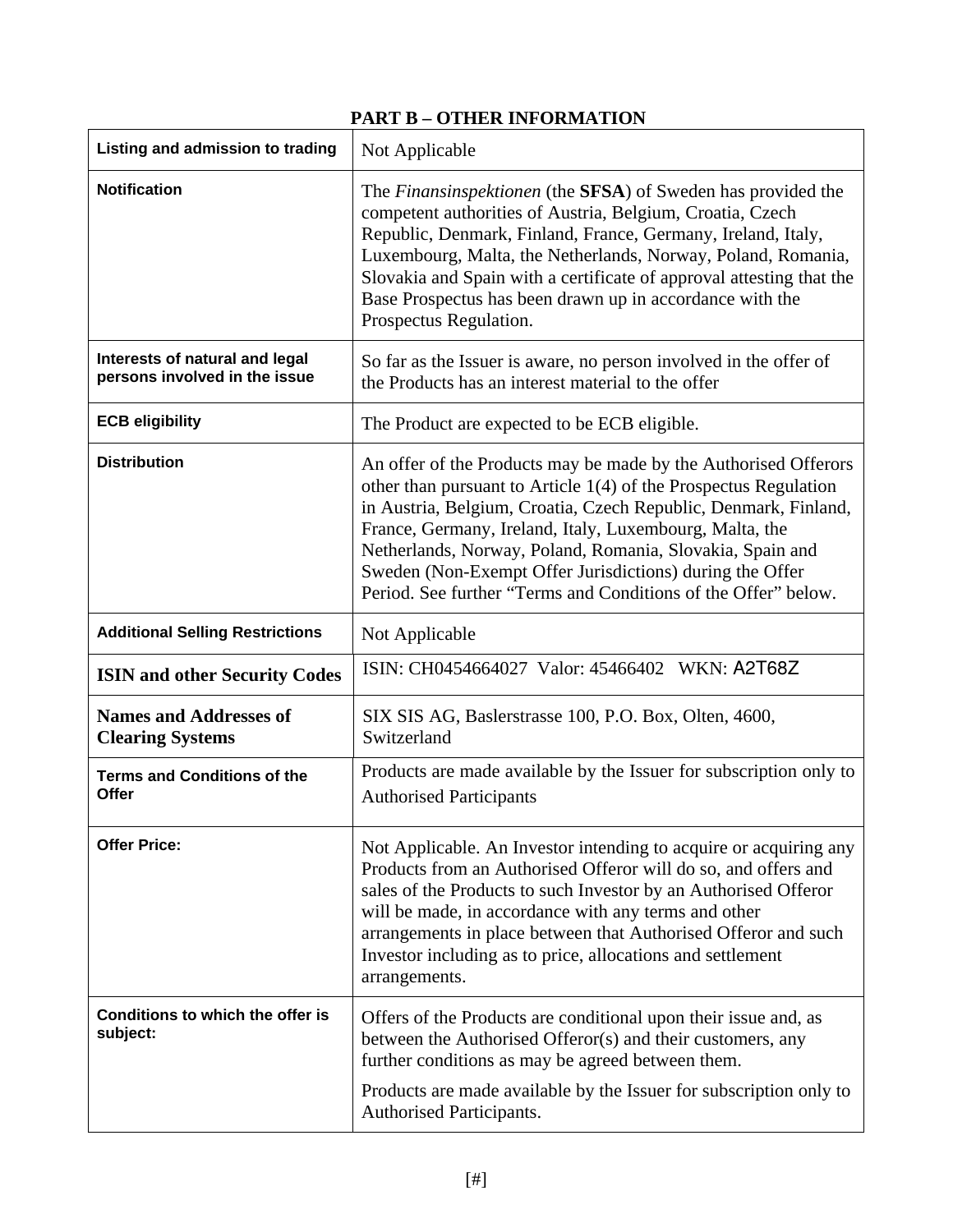# **PART B – OTHER INFORMATION**

| Listing and admission to trading                                | Not Applicable                                                                                                                                                                                                                                                                                                                                                                                                                                               |
|-----------------------------------------------------------------|--------------------------------------------------------------------------------------------------------------------------------------------------------------------------------------------------------------------------------------------------------------------------------------------------------------------------------------------------------------------------------------------------------------------------------------------------------------|
| <b>Notification</b>                                             | The Finansinspektionen (the SFSA) of Sweden has provided the<br>competent authorities of Austria, Belgium, Croatia, Czech<br>Republic, Denmark, Finland, France, Germany, Ireland, Italy,<br>Luxembourg, Malta, the Netherlands, Norway, Poland, Romania,<br>Slovakia and Spain with a certificate of approval attesting that the<br>Base Prospectus has been drawn up in accordance with the<br>Prospectus Regulation.                                      |
| Interests of natural and legal<br>persons involved in the issue | So far as the Issuer is aware, no person involved in the offer of<br>the Products has an interest material to the offer                                                                                                                                                                                                                                                                                                                                      |
| <b>ECB eligibility</b>                                          | The Product are expected to be ECB eligible.                                                                                                                                                                                                                                                                                                                                                                                                                 |
| <b>Distribution</b>                                             | An offer of the Products may be made by the Authorised Offerors<br>other than pursuant to Article 1(4) of the Prospectus Regulation<br>in Austria, Belgium, Croatia, Czech Republic, Denmark, Finland,<br>France, Germany, Ireland, Italy, Luxembourg, Malta, the<br>Netherlands, Norway, Poland, Romania, Slovakia, Spain and<br>Sweden (Non-Exempt Offer Jurisdictions) during the Offer<br>Period. See further "Terms and Conditions of the Offer" below. |
| <b>Additional Selling Restrictions</b>                          | Not Applicable                                                                                                                                                                                                                                                                                                                                                                                                                                               |
| <b>ISIN and other Security Codes</b>                            | ISIN: CH0454664027 Valor: 45466402 WKN: A2T68Z                                                                                                                                                                                                                                                                                                                                                                                                               |
| <b>Names and Addresses of</b><br><b>Clearing Systems</b>        | SIX SIS AG, Baslerstrasse 100, P.O. Box, Olten, 4600,<br>Switzerland                                                                                                                                                                                                                                                                                                                                                                                         |
| <b>Terms and Conditions of the</b><br>Offer                     | Products are made available by the Issuer for subscription only to<br><b>Authorised Participants</b>                                                                                                                                                                                                                                                                                                                                                         |
| <b>Offer Price:</b>                                             | Not Applicable. An Investor intending to acquire or acquiring any<br>Products from an Authorised Offeror will do so, and offers and<br>sales of the Products to such Investor by an Authorised Offeror<br>will be made, in accordance with any terms and other<br>arrangements in place between that Authorised Offeror and such<br>Investor including as to price, allocations and settlement<br>arrangements.                                              |
| Conditions to which the offer is<br>subject:                    | Offers of the Products are conditional upon their issue and, as<br>between the Authorised Offeror(s) and their customers, any<br>further conditions as may be agreed between them.                                                                                                                                                                                                                                                                           |
|                                                                 | Products are made available by the Issuer for subscription only to<br>Authorised Participants.                                                                                                                                                                                                                                                                                                                                                               |